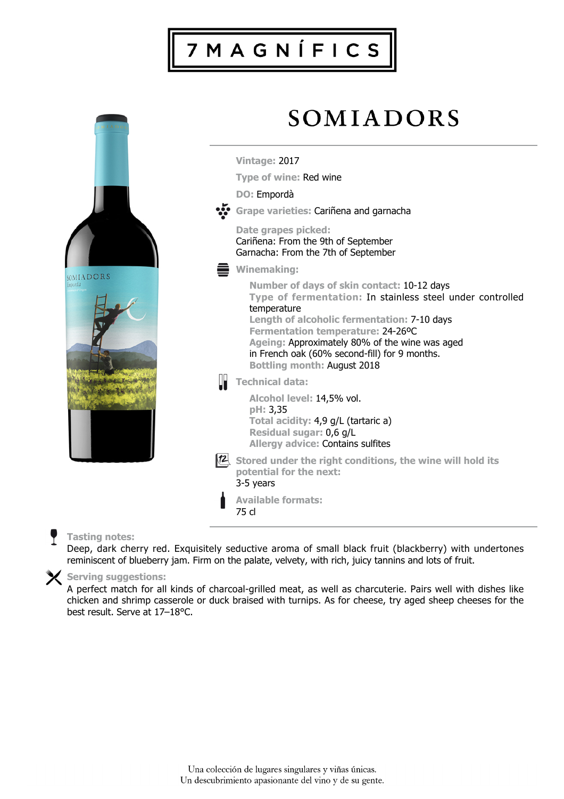# 7 M A G N Í F I C S



## **Tasting notes:**

Deep, dark cherry red. Exquisitely seductive aroma of small black fruit (blackberry) with undertones reminiscent of blueberry jam. Firm on the palate, velvety, with rich, juicy tannins and lots of fruit.

### **Serving suggestions:**

A perfect match for all kinds of charcoal-grilled meat, as well as charcuterie. Pairs well with dishes like chicken and shrimp casserole or duck braised with turnips. As for cheese, try aged sheep cheeses for the best result. Serve at 17–18°C.